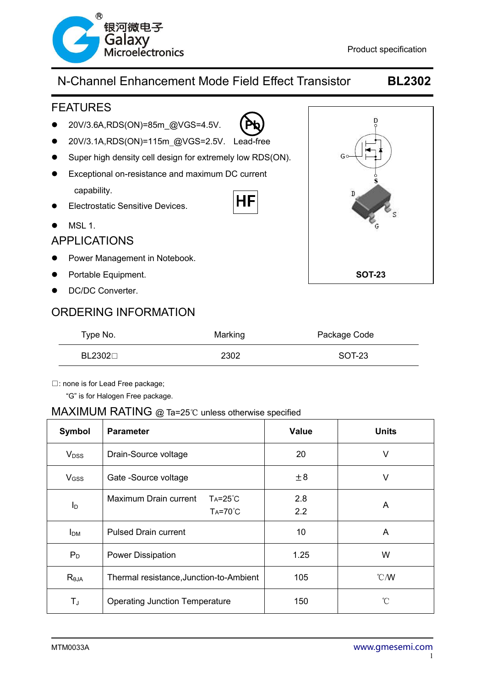

**Pb**

#### FEATURES

- 20V/3.6A,RDS(ON)=85m @VGS=4.5V.
- 20V/3.1A,RDS(ON)=115m\_@VGS=2.5V. Lead-free
- Super high density cell design for extremely low RDS(ON).
- Exceptional on-resistance and maximum DC current capability. ΗF
- **•** Electrostatic Sensitive Devices.
- $\bullet$  MSL 1.

#### APPLICATIONS

- Power Management in Notebook.
- **•** Portable Equipment.
- DC/DC Converter.

#### ORDERING INFORMATION

| p<br>Go<br>$\hat{\mathbf{s}}$<br>ď<br>s<br>G |
|----------------------------------------------|
| <b>SOT-23</b>                                |

| Type No.      | Marking | Package Code |
|---------------|---------|--------------|
| $BL2302 \Box$ | 2302    | SOT-23       |

□: none is for Lead Free package;

"G" is for Halogen Free package.

#### MAXIMUM RATING @ Ta=25℃ unless otherwise specified

| Symbol                  | <b>Parameter</b>                                              | <b>Value</b> | <b>Units</b>     |
|-------------------------|---------------------------------------------------------------|--------------|------------------|
| <b>V</b> <sub>DSS</sub> | Drain-Source voltage                                          | 20           | v                |
| V <sub>GSS</sub>        | Gate -Source voltage                                          | ±8           | V                |
| I <sub>D</sub>          | Maximum Drain current<br>$Ta=25^{\circ}C$<br>$Ta=70^{\circ}C$ | 2.8<br>2.2   | A                |
| <b>I</b> <sub>DM</sub>  | <b>Pulsed Drain current</b>                                   | 10           | A                |
| $P_D$                   | <b>Power Dissipation</b>                                      | 1.25         | W                |
| $R_{\theta$ JA          | Thermal resistance, Junction-to-Ambient                       | 105          | $\mathcal{C}$ /W |
| TJ                      | <b>Operating Junction Temperature</b>                         | 150          | °C               |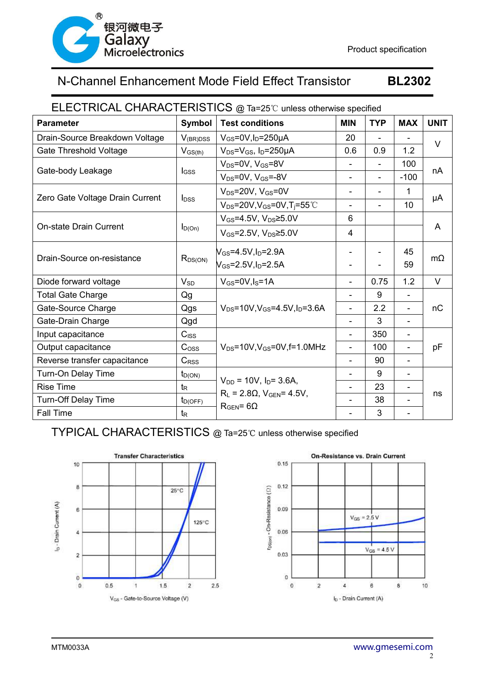

#### ELECTRICAL CHARACTERISTICS @ Ta=25℃ unless otherwise specified

| <b>Parameter</b>                | <b>Symbol</b>           | <b>Test conditions</b>                                   | <b>MIN</b>                   | <b>TYP</b>     | <b>MAX</b>                   | <b>UNIT</b> |
|---------------------------------|-------------------------|----------------------------------------------------------|------------------------------|----------------|------------------------------|-------------|
| Drain-Source Breakdown Voltage  | $V_{(BR)DSS}$           | $V_{GS} = 0V$ , $I_D = 250\mu A$                         | 20                           |                |                              | $\vee$      |
| Gate Threshold Voltage          | $V_{GS(th)}$            | $V_{DS} = V_{GS}$ , I <sub>D</sub> =250µA                | 0.6                          | 0.9            | 1.2                          |             |
|                                 |                         | $V_{DS} = 0V$ , $V_{GS} = 8V$                            | $\overline{\phantom{0}}$     |                | 100                          | nA          |
| Gate-body Leakage               | lgss                    | $V_{DS}$ =0V, $V_{GS}$ =-8V                              |                              | $\overline{a}$ | $-100$                       |             |
| Zero Gate Voltage Drain Current | <b>l</b> <sub>DSS</sub> | $V_{DS}$ =20V, $V_{GS}$ =0V                              | $\overline{\phantom{a}}$     |                | 1                            | μA          |
|                                 |                         | $V_{DS}$ =20V, V <sub>GS</sub> =0V, T <sub>i</sub> =55°C | $\overline{\phantom{a}}$     |                | 10                           |             |
| <b>On-state Drain Current</b>   |                         | $V_{GS}$ =4.5V, $V_{DS}$ ≥5.0V                           | $6\phantom{1}$               |                |                              |             |
|                                 | $I_{D(On)}$             | $V_{GS}$ =2.5V, $V_{DS}$ ≥5.0V                           | 4                            |                |                              | A           |
| Drain-Source on-resistance      |                         | $V_{GS}$ =4.5V,I <sub>D</sub> =2.9A                      |                              |                | 45                           | $m\Omega$   |
|                                 | $R_{DS(ON)}$            | $N_{\rm GS}$ =2.5V,I <sub>D</sub> =2.5A                  |                              |                | 59                           |             |
| Diode forward voltage           | $V_{SD}$                | $V_{GS} = 0V, I_S = 1A$                                  |                              | 0.75           | 1.2                          | $\vee$      |
| <b>Total Gate Charge</b>        | Qg                      |                                                          | $\qquad \qquad \blacksquare$ | 9              | $\qquad \qquad \blacksquare$ |             |
| Gate-Source Charge              | Qgs                     | $V_{DS} = 10V$ , $V_{GS} = 4.5V$ , $I_D = 3.6A$          | $\overline{\phantom{a}}$     | 2.2            | $\overline{\phantom{a}}$     | nС          |
| Gate-Drain Charge               | Qgd                     |                                                          | $\overline{\phantom{a}}$     | 3              | $\overline{\phantom{0}}$     |             |
| Input capacitance               | $C$ <sub>ISS</sub>      |                                                          | $\overline{a}$               | 350            | $\overline{\phantom{0}}$     |             |
| Output capacitance              | C <sub>oss</sub>        | $V_{DS}$ =10V, $V_{GS}$ =0V, f=1.0MHz                    | $\overline{\phantom{a}}$     | 100            | -                            | рF          |
| Reverse transfer capacitance    | $C_{\rm RSS}$           |                                                          |                              | 90             | -                            |             |
| Turn-On Delay Time              | $t_{D(ON)}$             | $V_{DD}$ = 10V, $I_D$ = 3.6A,                            |                              | 9              | $\overline{\phantom{a}}$     |             |
| <b>Rise Time</b>                | $t_{\mathsf{R}}$        | $R_L$ = 2.8 $\Omega$ , $V_{GEN}$ = 4.5V,                 | $\blacksquare$               | 23             | $\overline{\phantom{a}}$     | ns          |
| Turn-Off Delay Time             | $t_{D(OFF)}$            | $R_{GEN} = 6\Omega$                                      | $\overline{\phantom{a}}$     | 38             | $\overline{\phantom{0}}$     |             |
| Fall Time                       | $t_{\mathsf{R}}$        |                                                          |                              | 3              | $\overline{a}$               |             |

TYPICAL CHARACTERISTICS @ Ta=25℃ unless otherwise specified



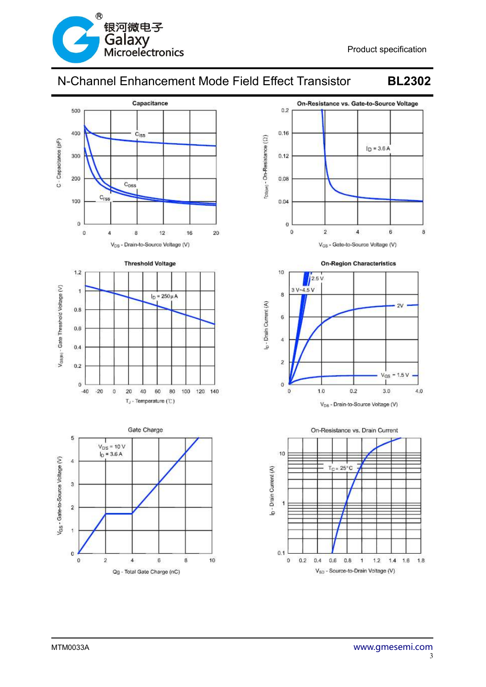